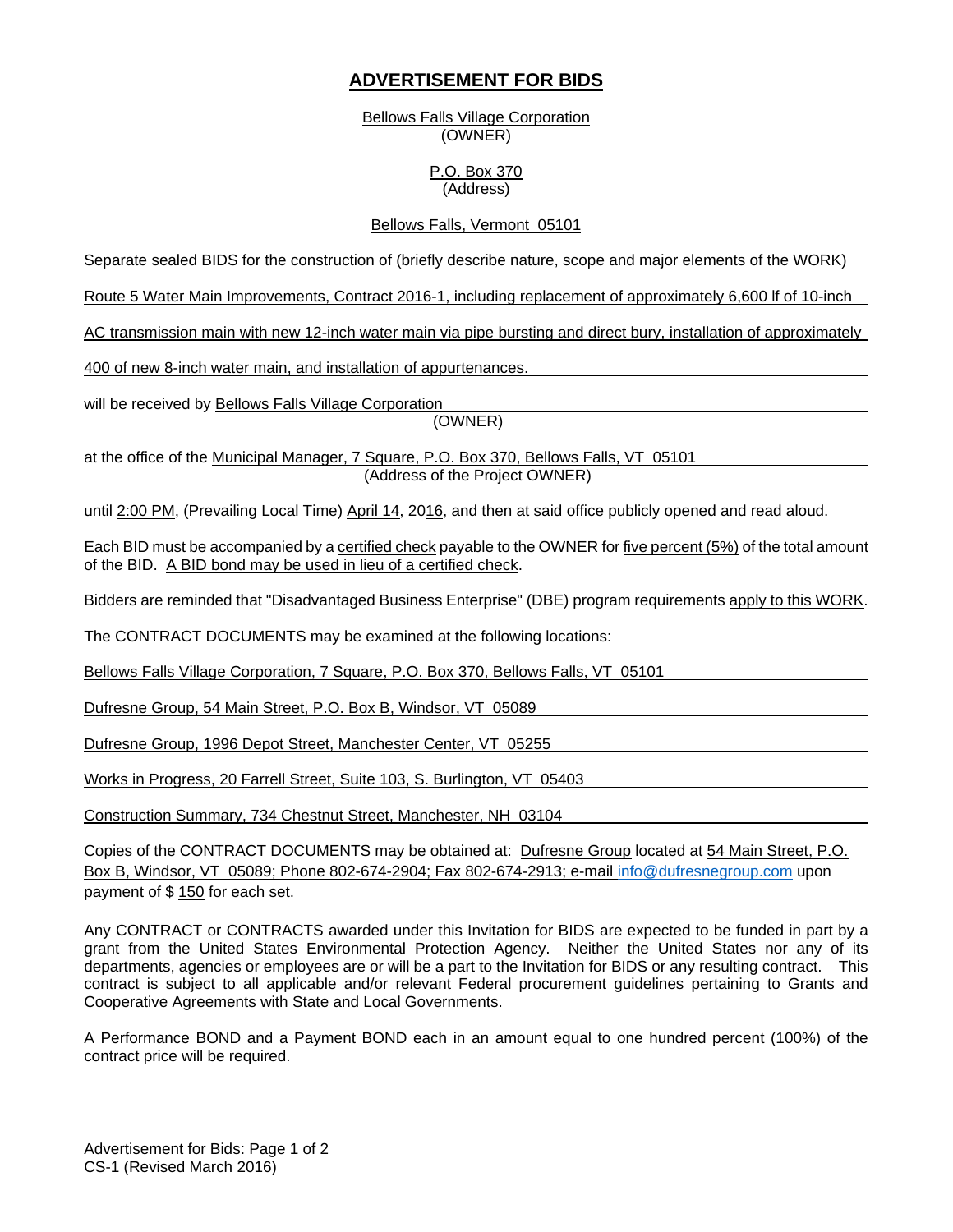# **ADVERTISEMENT FOR BIDS**

Bellows Falls Village Corporation (OWNER)

### P.O. Box 370 (Address)

### Bellows Falls, Vermont 05101

Separate sealed BIDS for the construction of (briefly describe nature, scope and major elements of the WORK)

Route 5 Water Main Improvements, Contract 2016-1, including replacement of approximately 6,600 lf of 10-inch

AC transmission main with new 12-inch water main via pipe bursting and direct bury, installation of approximately

400 of new 8-inch water main, and installation of appurtenances.

will be received by Bellows Falls Village Corporation

(OWNER)

at the office of the Municipal Manager, 7 Square, P.O. Box 370, Bellows Falls, VT 05101 (Address of the Project OWNER)

until 2:00 PM, (Prevailing Local Time) April 14, 2016, and then at said office publicly opened and read aloud.

Each BID must be accompanied by a certified check payable to the OWNER for five percent (5%) of the total amount of the BID. A BID bond may be used in lieu of a certified check.

Bidders are reminded that "Disadvantaged Business Enterprise" (DBE) program requirements apply to this WORK.

The CONTRACT DOCUMENTS may be examined at the following locations:

Bellows Falls Village Corporation, 7 Square, P.O. Box 370, Bellows Falls, VT 05101

Dufresne Group, 54 Main Street, P.O. Box B, Windsor, VT 05089

Dufresne Group, 1996 Depot Street, Manchester Center, VT 05255

Works in Progress, 20 Farrell Street, Suite 103, S. Burlington, VT 05403

Construction Summary, 734 Chestnut Street, Manchester, NH 03104

Copies of the CONTRACT DOCUMENTS may be obtained at: Dufresne Group located at 54 Main Street, P.O. Box B, Windsor, VT 05089; Phone 802-674-2904; Fax 802-674-2913; e-mail info@dufresnegroup.com upon payment of \$ 150 for each set.

Any CONTRACT or CONTRACTS awarded under this Invitation for BIDS are expected to be funded in part by a grant from the United States Environmental Protection Agency. Neither the United States nor any of its departments, agencies or employees are or will be a part to the Invitation for BIDS or any resulting contract. This contract is subject to all applicable and/or relevant Federal procurement guidelines pertaining to Grants and Cooperative Agreements with State and Local Governments.

A Performance BOND and a Payment BOND each in an amount equal to one hundred percent (100%) of the contract price will be required.